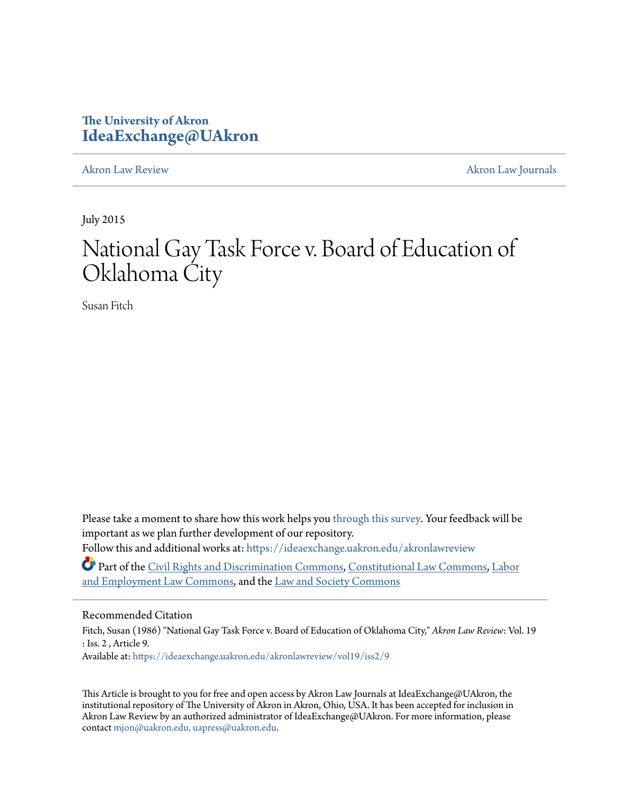# **The University of Akron [IdeaExchange@UAkron](https://ideaexchange.uakron.edu?utm_source=ideaexchange.uakron.edu%2Fakronlawreview%2Fvol19%2Fiss2%2F9&utm_medium=PDF&utm_campaign=PDFCoverPages)**

[Akron Law Review](https://ideaexchange.uakron.edu/akronlawreview?utm_source=ideaexchange.uakron.edu%2Fakronlawreview%2Fvol19%2Fiss2%2F9&utm_medium=PDF&utm_campaign=PDFCoverPages) [Akron Law Journals](https://ideaexchange.uakron.edu/akronlawjournals?utm_source=ideaexchange.uakron.edu%2Fakronlawreview%2Fvol19%2Fiss2%2F9&utm_medium=PDF&utm_campaign=PDFCoverPages)

July 2015

# National Gay Task Force v. Board of Education of Oklahoma City

Susan Fitch

Please take a moment to share how this work helps you [through this survey.](http://survey.az1.qualtrics.com/SE/?SID=SV_eEVH54oiCbOw05f&URL=https://ideaexchange.uakron.edu/akronlawreview/vol19/iss2/9) Your feedback will be important as we plan further development of our repository. Follow this and additional works at: [https://ideaexchange.uakron.edu/akronlawreview](https://ideaexchange.uakron.edu/akronlawreview?utm_source=ideaexchange.uakron.edu%2Fakronlawreview%2Fvol19%2Fiss2%2F9&utm_medium=PDF&utm_campaign=PDFCoverPages)

Part of the [Civil Rights and Discrimination Commons,](http://network.bepress.com/hgg/discipline/585?utm_source=ideaexchange.uakron.edu%2Fakronlawreview%2Fvol19%2Fiss2%2F9&utm_medium=PDF&utm_campaign=PDFCoverPages) [Constitutional Law Commons](http://network.bepress.com/hgg/discipline/589?utm_source=ideaexchange.uakron.edu%2Fakronlawreview%2Fvol19%2Fiss2%2F9&utm_medium=PDF&utm_campaign=PDFCoverPages), [Labor](http://network.bepress.com/hgg/discipline/909?utm_source=ideaexchange.uakron.edu%2Fakronlawreview%2Fvol19%2Fiss2%2F9&utm_medium=PDF&utm_campaign=PDFCoverPages) [and Employment Law Commons](http://network.bepress.com/hgg/discipline/909?utm_source=ideaexchange.uakron.edu%2Fakronlawreview%2Fvol19%2Fiss2%2F9&utm_medium=PDF&utm_campaign=PDFCoverPages), and the [Law and Society Commons](http://network.bepress.com/hgg/discipline/853?utm_source=ideaexchange.uakron.edu%2Fakronlawreview%2Fvol19%2Fiss2%2F9&utm_medium=PDF&utm_campaign=PDFCoverPages)

## Recommended Citation

Fitch, Susan (1986) "National Gay Task Force v. Board of Education of Oklahoma City," *Akron Law Review*: Vol. 19 : Iss. 2 , Article 9. Available at: [https://ideaexchange.uakron.edu/akronlawreview/vol19/iss2/9](https://ideaexchange.uakron.edu/akronlawreview/vol19/iss2/9?utm_source=ideaexchange.uakron.edu%2Fakronlawreview%2Fvol19%2Fiss2%2F9&utm_medium=PDF&utm_campaign=PDFCoverPages)

This Article is brought to you for free and open access by Akron Law Journals at IdeaExchange@UAkron, the institutional repository of The University of Akron in Akron, Ohio, USA. It has been accepted for inclusion in Akron Law Review by an authorized administrator of IdeaExchange@UAkron. For more information, please contact [mjon@uakron.edu, uapress@uakron.edu.](mailto:mjon@uakron.edu,%20uapress@uakron.edu)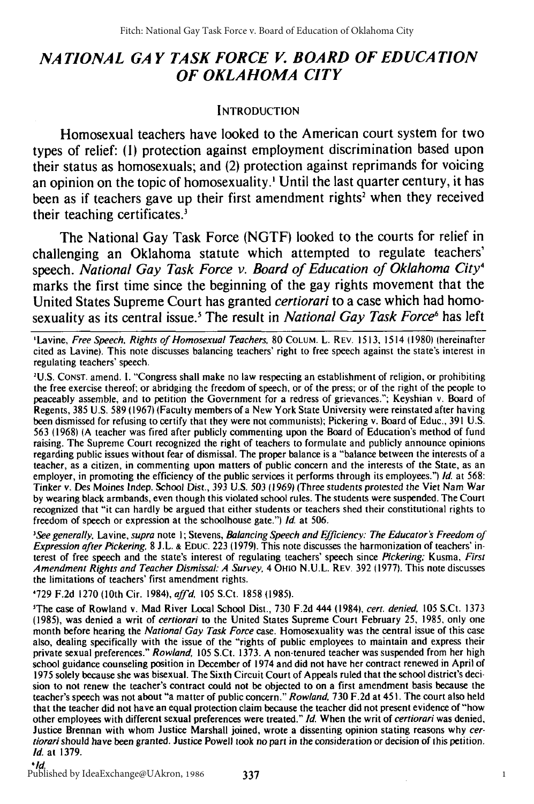## *NATIONAL GA Y TASK FORCE V. BOARD OF EDUCA TION OF OKLAHOMA CITY*

## **INTRODUCTION**

Homosexual teachers have looked to the American court system for two types of relief: **(1)** protection against employment discrimination based upon their status as homosexuals; and (2) protection against reprimands for voicing an opinion on the topic of homosexuality.' Until the last quarter century, it has been as if teachers gave up their first amendment rights<sup>2</sup> when they received their teaching certificates.<sup>3</sup>

The National Gay Task Force **(NGTF)** looked to the courts for relief in challenging an Oklahoma statute which attempted to regulate teachers' speech. *National Gay Task Force v. Board of Education of Oklahoma City4* marks the first time since the beginning of the gay rights movement that the United States Supreme Court has granted *certiorari* to a case which had homosexuality as its central issue.' The result in *National Gay Task Force6* has left

'Lavine, Free Speech. Rights of Homosexual Teachers, 80 COLUM. L. REV. 1513, 1514 (1980) (hereinafter cited as Lavine). This note discusses balancing teachers' right to free speech against the state's interest in regulating teachers' speech.

'U.S. CONST. amend. **1.** "Congress shall make no law respecting an establishment of religion, or prohibiting the free exercise thereof; or abridging the freedom of speech, or of the press; or of the right of the people to peaceably assemble, and to petition the Government for a redress of grievances."; Keyshian v. Board of Regents, 385 U.S. 589 (1967) (Faculty members of a New York State University were reinstated after having been dismissed for refusing to certify that they were not communists); Pickering v. Board of Educ., 391 U.S. 563 (1968) (A teacher was fired after publicly commenting upon the Board of Education's method of fund raising. The Supreme Court recognized the right of teachers to formulate and publicly announce opinions regarding public issues without fear of dismissal. The proper balance is a "balance between the interests of a teacher, as a citizen, in commenting upon matters of public concern and the interests of the State, as an employer, in promoting the efficiency of the public services it performs through its employees.") *Id.* at 568: Tinker v. Des Moines lndep. School Dist., **393** U.S. *503* (1969) (Three students protested the Viet Nam War by wearing black armbands, even though this violated school rules. The students were suspended. The Court recognized that "it can hardly be argued that either students or teachers shed their constitutional rights to freedom of speech or expression at the schoolhouse gate.") *Id* at 506.

<sup>3</sup>See generally, Lavine, supra note 1; Stevens, Balancing Speech and Efficiency: The Educator's Freedom of Expression after Pickering, 8 **J.L.** & EDuc. 223 (1979). This note discusses the harmonization of teachers' interest of free speech and the state's interest of regulating teachers' speech since Pickering; Kusma, First Amendment Rights and Teacher Dismissal: A Survey, 4 OHIo **N.U.L.** REV. 392 (1977). This note discusses the limitations of teachers' first amendment rights.

'729 F.2d 1270 (10th Cir. 1984), *affd,* 105 S.Ct. 1858 (1985).

'The case of Rowland v. Mad River Local School Dist., 730 F.2d 444 (1984), cert. denied. 105 S.Ct. 1373 (1985), was denied a writ of certiorari to the United States Supreme Court February **25,** 1985, only one month before hearing the National Gay Task Force case. Homosexuality was the central issue of this case also, dealing specifically with the issue of the "rights of public employees to maintain and express their private sexual preferences." Rowland, 105 S.Ct. 1373. A non-tenured teacher was suspended from her high school guidance counseling position in December of 1974 and did not have her contract renewed in April of 1975 solely because she was bisexual. The Sixth Circuit Court of Appeals ruled that the school district's decision to not renew the teacher's contract could not be objected to on a first amendment basis because the teacher's speech was not about "a matter of public concern." Rowland, 730 F.2d at 45 **1.** The court also held that the teacher did not have an equal protection claim because the teacher did not present evidence of "how other employees with different sexual preferences were treated." *Id.* When the writ of certiorari was denied, Justice Brennan with whom Justice Marshall joined, wrote a dissenting opinion stating reasons why cer*tiorari* should have been granted. Justice Powell took no part in the consideration or decision of this petition. *Id.* at 1379.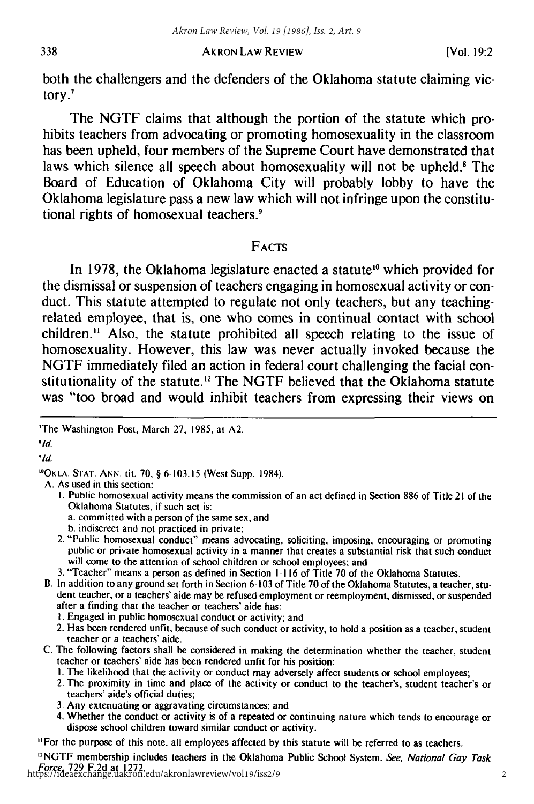2

both the challengers and the defenders of the Oklahoma statute claiming victory.'

The **NGTF** claims that although the portion of the statute which prohibits teachers from advocating or promoting homosexuality in the classroom has been upheld, four members of the Supreme Court have demonstrated that laws which silence all speech about homosexuality will not be upheld.' The Board of Education of Oklahoma City will probably lobby to have the Oklahoma legislature pass a new law which will not infringe upon the constitutional rights of homosexual teachers

## FACTS

In **1978,** the Oklahoma legislature enacted a statute" which provided for the dismissal or suspension of teachers engaging in homosexual activity or conduct. This statute attempted to regulate not only teachers, but any teachingrelated employee, that is, one who comes in continual contact with school children." Also, the statute prohibited all speech relating to the issue of homosexuality. However, this law was never actually invoked because the **NGTF** immediately filed an action in federal court challenging the facial constitutionality of the statute.<sup>12</sup> The NGTF believed that the Oklahoma statute was "too broad and would inhibit teachers from expressing their views on

**8** *Id.*

**91d.**

'"OKLA. **STAT. ANN.** tit. 70, § 6-103.15 (West Supp. 1984).

A. As used in this section:

- **1.** Public homosexual activity means the commission of an act defined in Section 886 of Title 21 of the Oklahoma Statutes, if such act is:
	- a. committed with a person of the same sex, and
	- b. indiscreet and not practiced in private;
- 2. "Public homosexual conduct" means advocating, soliciting, imposing, encouraging or promoting public or private homosexual activity in a manner that creates a substantial risk that such conduct will come to the attention of school children or school employees; and
- 3. "Teacher" means a person as defined in Section 1-116 of Title 70 of the Oklahoma Statutes.
- B. In addition to any ground set forth in Section 6-103 of Title 70 of the Oklahoma Statutes, a teacher, student teacher, or a teachers' aide may be refused employment or reemployment, dismissed, or suspended after a finding that the teacher or teachers' aide has:
	- I. Engaged in public homosexual conduct or activity; and
	- 2. Has been rendered unfit, because of such conduct or activity, to hold a position as a teacher, student teacher or a teachers' aide.
- C. The following factors shall be considered in making the determination whether the teacher, student teacher or teachers' aide has been rendered unfit for his position:
	- I. The likelihood that the activity or conduct may adversely affect students or school employees;
	- 2. The proximity in time and place of the activity or conduct to the teacher's, student teacher's or teachers' aide's official duties;
	- 3. Any extenuating or aggravating circumstances; and
	- 4. Whether the conduct or activity is of a repeated or continuing nature which tends to encourage or dispose school children toward similar conduct or activity.

"For the purpose of this note, all employees affected by this statute will be referred to as teachers.

<sup>2</sup>NGTF membership includes teachers in the Oklahoma Public School System. See, National Gay Task Force, 729 F.2d at 1272. https://ideaexchange.uakron.edu/akronlawreview/vol19/iss2/9

<sup>&#</sup>x27;The Washington Post, March 27, 1985, at A2.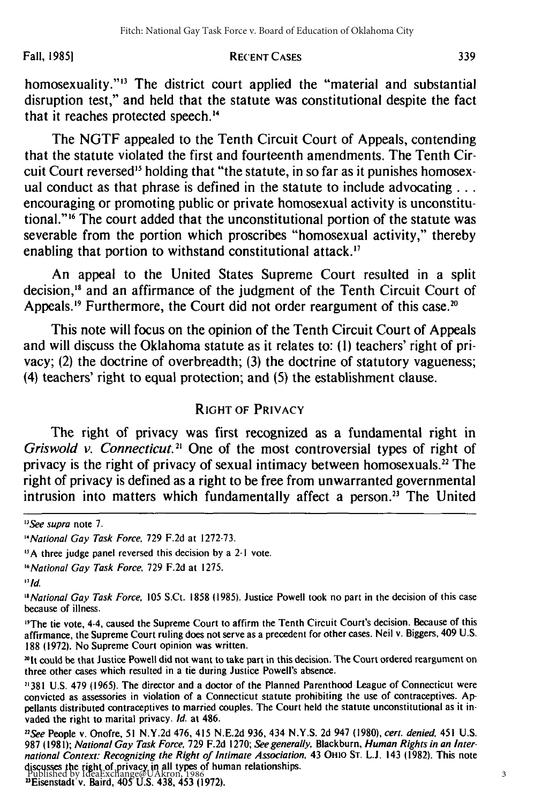Fall, **19851**

#### RECENT **CASES**

homosexuality."<sup>13</sup> The district court applied the "material and substantial disruption test," and held that the statute was constitutional despite the fact that it reaches protected speech."'

The NGTF appealed to the Tenth Circuit Court of Appeals, contending that the statute violated the first and fourteenth amendments. The Tenth Circuit Court reversed<sup>15</sup> holding that "the statute, in so far as it punishes homosexual conduct as that phrase is defined in the statute to include advocating  $\dots$ encouraging or promoting public or private homosexual activity is unconstitutional."<sup>16</sup> The court added that the unconstitutional portion of the statute was severable from the portion which proscribes "homosexual activity," thereby enabling that portion to withstand constitutional attack.<sup>17</sup>

An appeal to the United States Supreme Court resulted in a split decision,<sup>18</sup> and an affirmance of the judgment of the Tenth Circuit Court of Appeals.<sup>19</sup> Furthermore, the Court did not order reargument of this case.<sup>20</sup>

This note will focus on the opinion of the Tenth Circuit Court of Appeals and will discuss the Oklahoma statute as it relates to: (1) teachers' right of privacy; (2) the doctrine of overbreadth; (3) the doctrine of statutory vagueness; (4) teachers' right to equal protection; and (5) the establishment clause.

## RIGHT OF PRIVACY

The right of privacy was first recognized as a fundamental right in Griswold *v. Connecticut*.<sup>21</sup> One of the most controversial types of right of privacy is the right of privacy of sexual intimacy between homosexuals.<sup>22</sup> The right of privacy is defined as a right to be free from unwarranted governmental intrusion into matters which fundamentally affect a person.<sup>23</sup> The United

<sup>&</sup>quot;See supra note **7.**

*<sup>14</sup>National* Gay Task Force. 729 F.2d at 1272-73.

**<sup>&</sup>quot;A** three judge panel reversed this decision by a 2-1 vote.

<sup>&</sup>quot;National Gay Task Force, 729 F.2d at 1275.

*<sup>17</sup>Id.*

*<sup>&</sup>quot;* National Gay Task Force, 105 S.Ct. 1858 **(1985).** Justice Powell took no part in the decision of this case because of illness.

<sup>&</sup>lt;sup>19</sup>The tie vote, 4-4, caused the Supreme Court to affirm the Tenth Circuit Court's decision. Because of this affirmance, the Supreme Court ruling does not serve as a precedent for other cases. Neil v. Biggers, 409 U.S. 188 (1972). No Supreme Court opinion was written.

<sup>&</sup>quot;It could be that Justice Powell did not want to take part in this decision. The Court ordered reargument on three other cases which resulted in a tie during Justice Powell's absence.

**<sup>21381</sup>**U.S. 479 (1965). The director and a doctor of the Planned Parenthood League of Connecticut were convicted as assessories in violation of a Connecticut statute prohibiting the use of contraceptives. Appellants distributed contraceptives to married couples. The Court held the statute unconstitutional as it invaded the right to marital privacy. Id. at 486.

*nSee* People v. Onofre, 51 N.Y.2d 476, 415 N.E.2d 936, 434 N.Y.S. 2d 947 (1980), cert. denied, 451 U.S. 987 (1981); National Gay Task Force, 729 F.2d 1270; See generally, Blackburn, Human Rights in an International Context: Recognizing the Right of Intimate Association, 43 OHIO ST. L.J. 143 (1982). This note discusses the right of privacy in all types of human relationships.

<sup>3</sup>Eisenstadt v. Baird, 405 U.S. 438, 453 (1972). Published by IdeaExchange@UAkron, 1986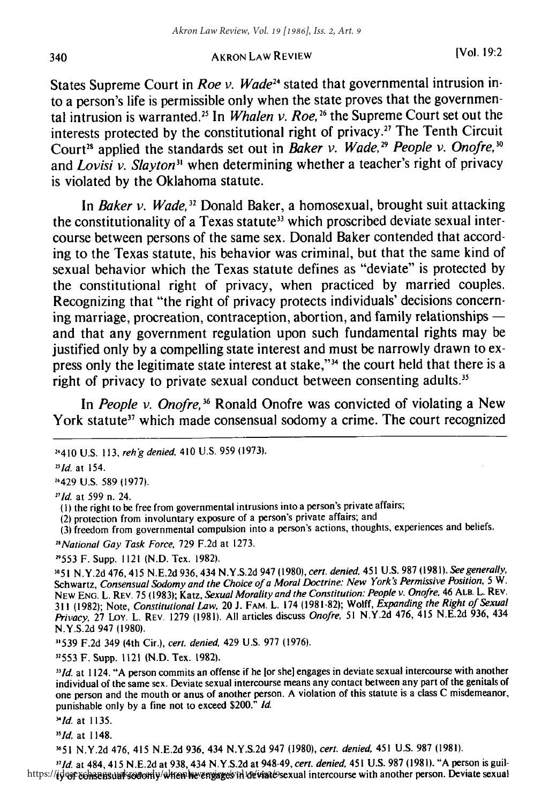States Supreme Court in *Roe v. Wade24* stated that governmental intrusion into a person's life is permissible only when the state proves that the governmental intrusion is warranted.<sup>25</sup> In *Whalen v. Roe*, <sup>26</sup> the Supreme Court set out the interests protected **by** the constitutional right of privacy." The Tenth Circuit Court<sup>28</sup> applied the standards set out in *Baker v. Wade*,<sup>29</sup> *People v. Onofre.*<sup>30</sup> and *Lovisi v. Slayton*<sup>31</sup> when determining whether a teacher's right of privacy is violated **by** the Oklahoma statute.

In *Baker v. Wade,32* Donald Baker, a homosexual, brought suit attacking the constitutionality of a Texas statute<sup>33</sup> which proscribed deviate sexual intercourse between persons of the same sex. Donald Baker contended that according to the Texas statute, his behavior was criminal, but that the same kind of sexual behavior which the Texas statute defines as "deviate" is protected **by** the constitutional right of privacy, when practiced **by** married couples. Recognizing that "the right of privacy protects individuals' decisions concerning marriage, procreation, contraception, abortion, and family relationships  and that any government regulation upon such fundamental rights may be justified only **by** a compelling state interest and must be narrowly drawn to express only the legitimate state interest at stake,"<sup>34</sup> the court held that there is a right of privacy to private sexual conduct between consenting adults.<sup>35</sup> Akron Law Review, Vol. 19 [1986], Iss. 2, Art. 9<br>
(Vol. 19:2<br>
1 AKRON Law Review<br>
1 (Vol. 19:2<br>
1 in Roe v. Wade<sup>14</sup> stated that governmental intrusion in-<br>
1 in Roe v. Wade<sup>14</sup> stated that governmental intrusion in<br>
1 In

In *People v. Onofre*,<sup>36</sup> Ronald Onofre was convicted of violating a New York statute<sup>37</sup> which made consensual sodomy a crime. The court recognized

*2*5 *1d.* at 154.

21429 **U.S. 589 (1977).**

*271d.* at **599** n. 24.

(2) protection from involuntary exposure of a person's private affairs; and

**(3)** freedom from governmental compulsion into a person's actions, thoughts, experiences and beliefs.

*"National* Gay Task Force, **729 F.2d** at **1273.**

**1553** F. Supp. 1121 **(N.D.** Tex. **1982).**

**3051 N.Y.2d** 476, 415 N.E.2d 936, 434 **N.Y.S.2d** 947 **(1980),** cert. denied, 451 **U.S. 987 (1981).** See generally, Schwartz, Consensual Sodomy and the Choice of a Moral Doctrine: New York's Permissive Position, 5 W. NEW ENG. L. REV. **75 (1983);** Katz, Sexual *Morality* and the Constitution: People v. Onofre, 46 ALB. L. REV. **<sup>311</sup>(1982);** Note, Constitutional Law, 20 **J.** FAM. L. 174 **(1981-82);** Wolff, Expanding the Right of Sexual Privacy, **27** Loy. L. REV. **1279 (1981). All** articles discuss Onofre, **51 N.Y.2d** 476, 415 N.E.2d **936,** <sup>434</sup> **N.Y.S.2d** 947 **(1980).**

**31539 F.2d** 349 (4th Cir.), cert. denied, 429 **U.S. 977 (1976).**

**11553** F. Supp. 1121 (N.D. Tex. 1982).

*3Id.* at 1124. **"A** person commits an offense if he **[or** she] engages in deviate sexual intercourse with another individual of the same sex. Deviate sexual intercourse means any contact between any part of the genitals of one person and the mouth or anus of another person. **A** violation of this statute is a class **C** misdemeanor, punishable only **by** a fine not to exceed \$200." **Id.**

'ld. at **1135.**

 $35$  Id. at 1148.

<sup>3651</sup>N.Y.2d 476, 415 N.E.2d 936, 434 N.Y.S.2d 947 (1980), cert. denied 451 U.S. **987** (1981).

"Id. at 484, 415 N.E.2d at 938, 434 N.Y.S.2d at 948-49, cert. denied, 451 U.S. **987** (198 **1).** "A person is guilhttps://ideaexchangesialarsodomy/altienhevengages/in devisadesexual intercourse with another person. Deviate sexual

340

<sup>2410</sup> U.S. **113,** reh'g denied, **410** U.S. 959 (1973).

**<sup>(</sup>I)** the right to be free from governmental intrusions into a person's private affairs;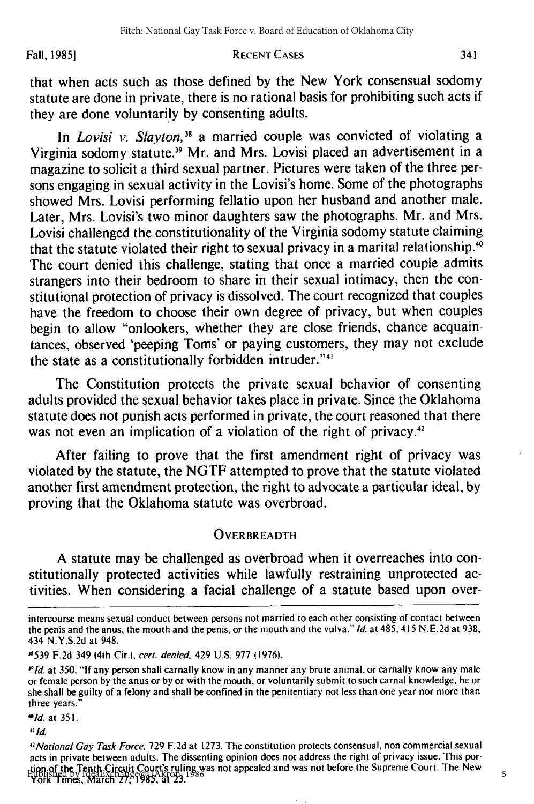#### Fall, **19851 RECENT CASES**

that when acts such as those defined **by** the New York consensual sodomy statute are done in private, there is no rational basis for prohibiting such acts if they are done voluntarily by consenting adults.

In *Lovisi* v. Slayton,*<sup>38</sup>*a married couple was convicted of violating a Virginia sodomy statute.<sup>39</sup> Mr. and Mrs. Lovisi placed an advertisement in a magazine to solicit a third sexual partner. Pictures were taken of the three persons engaging in sexual activity in the Lovisi's home. Some of the photographs showed Mrs. Lovisi performing fellatio upon her husband and another male. Later, Mrs. Lovisi's two minor daughters saw the photographs. Mr. and Mrs. Lovisi challenged the constitutionality of the Virginia sodomy statute claiming that the statute violated their right to sexual privacy in a marital relationship.<sup>40</sup> The court denied this challenge, stating that once a married couple admits strangers into their bedroom to share in their sexual intimacy, then the constitutional protection of privacy is dissolved. The court recognized that couples have the freedom to choose their own degree of privacy, but when couples begin to allow "onlookers, whether they are close friends, chance acquaintances, observed 'peeping Toms' or paying customers, they may not exclude the state as a constitutionally forbidden intruder."<sup>41</sup>

The Constitution protects the private sexual behavior of consenting adults provided the sexual behavior takes place in private. Since the Oklahoma statute does not punish acts performed in private, the court reasoned that there was not even an implication of a violation of the right of privacy. $42$ 

After failing to prove that the first amendment right of privacy was violated by the statute, the NGTF attempted to prove that the statute violated another first amendment protection, the right to advocate a particular ideal, by proving that the Oklahoma statute was overbroad.

#### **OVERBREADTH**

A statute may be challenged as overbroad when it overreaches into constitutionally protected activities while lawfully restraining unprotected activities. When considering a facial challenge of a statute based upon over-

**3539** F.2d 349 (4th Cir.), cert. denied, 429 U.S. 977 (1976).

*'"Id.* at 351.

**'lid.**

5

341

intercourse means sexual conduct between persons not married to each other consisting of contact between the penis and the anus, the mouth and the penis, or the mouth and the vulva." Id. at 485, 415 N.E.2d at 938, 434 N.Y.S.2d at 948.

 $391d$ . at 350. "If any person shall carnally know in any manner any brute animal, or carnally know any male or female person by the anus or by or with the mouth, or voluntarily submit to such carnal knowledge, he or she shall be guilty of a felony and shall be confined in the penitentiary not less than one year nor more than three years."

<sup>&</sup>lt;sup>4</sup> *National Gay Task Force, 729 F.2d* at 1273. The constitution protects consensual, non-commercial sexual acts in private between adults. The dissenting opinion does not address the right of privacy issue. This portion of the Tenth Circuit Court's ruling was not appealed and was not before the Supreme Court. The New York Times, March **27,** 1985, at 23. Published by IdeaExchange@UAkron, 1986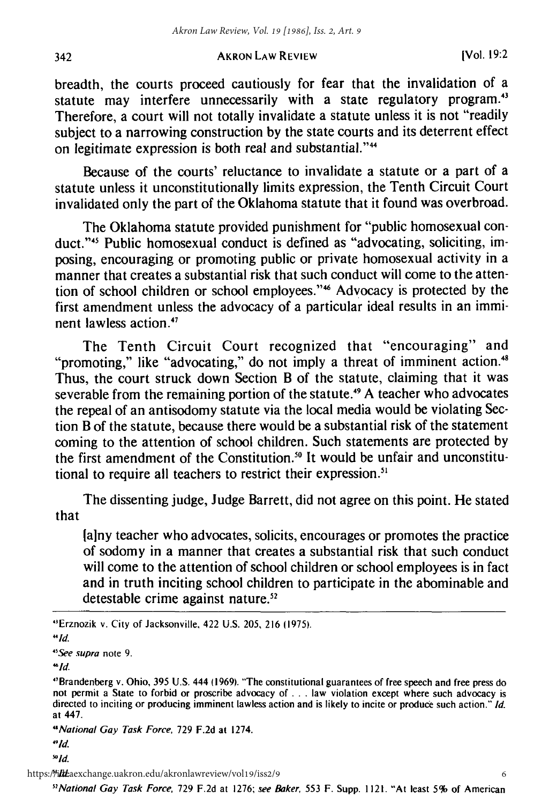breadth, the courts proceed cautiously for fear that the invalidation of a statute may interfere unnecessarily with a state regulatory program.<sup>43</sup> Therefore, a court will not totally invalidate a statute unless it is not "readily subject to a narrowing construction by the state courts and its deterrent effect on legitimate expression is both real and substantial."<sup>44</sup>

Because of the courts' reluctance to invalidate a statute or a part of a statute unless it unconstitutionally limits expression, the Tenth Circuit Court invalidated only the part of the Oklahoma statute that it found was overbroad.

The Oklahoma statute provided punishment for "public homosexual conduct."<sup>45</sup> Public homosexual conduct is defined as "advocating, soliciting, imposing, encouraging or promoting public or private homosexual activity in a manner that creates a substantial risk that such conduct will come to the attention of school children or school employees."<sup>46</sup> Advocacy is protected by the first amendment unless the advocacy of a particular ideal results in an imminent lawless action.<sup>47</sup>

The Tenth Circuit Court recognized that "encouraging" and "promoting," like "advocating," do not imply a threat of imminent action.<sup>48</sup> Thus, the court struck down Section B of the statute, claiming that it was severable from the remaining portion of the statute.<sup>49</sup> A teacher who advocates the repeal of an antisodomy statute via the local media would be violating Section B of the statute, because there would be a substantial risk of the statement coming to the attention of school children. Such statements are protected by the first amendment of the Constitution. ° It would be unfair and unconstitutional to require all teachers to restrict their expression.<sup>51</sup>

The dissenting judge, Judge Barrett, did not agree on this point. He stated that

[any teacher who advocates, solicits, encourages or promotes the practice of sodomy in a manner that creates a substantial risk that such conduct will come to the attention of school children or school employees is in fact and in truth inciting school children to participate in the abominable and detestable crime against nature.<sup>52</sup>

342

https://i*lthe.*aexchange.uakron.edu/akronlawreview/vol19/iss2/9

*5 2 National* Gay Task Force. 729 F.2d at 1276; see Baker, 553 F. Supp. 1121. "At least **5%** of American

<sup>&#</sup>x27;Erznozik v. City of Jacksonville, 422 U.S. 205, 216 (1975).

*<sup>&</sup>quot;Id.*

*<sup>&</sup>quot;See supra* note 9.

 $\lq d$ .

<sup>&#</sup>x27;Brandenberg v. Ohio, 395 U.S. 444 (1969). "The constitutional guarantees of free speech and free press do not permit a State to forbid or proscribe advocacy of **. .** . law violation except where such advocacy is directed to inciting or producing imminent lawless action and is likely to incite or produce such action." Id. at 447.

*<sup>&#</sup>x27;National* Gay Task Force, 729 F.2d at 1274.

<sup>9</sup> **Id.**

 $^{50}$ ld.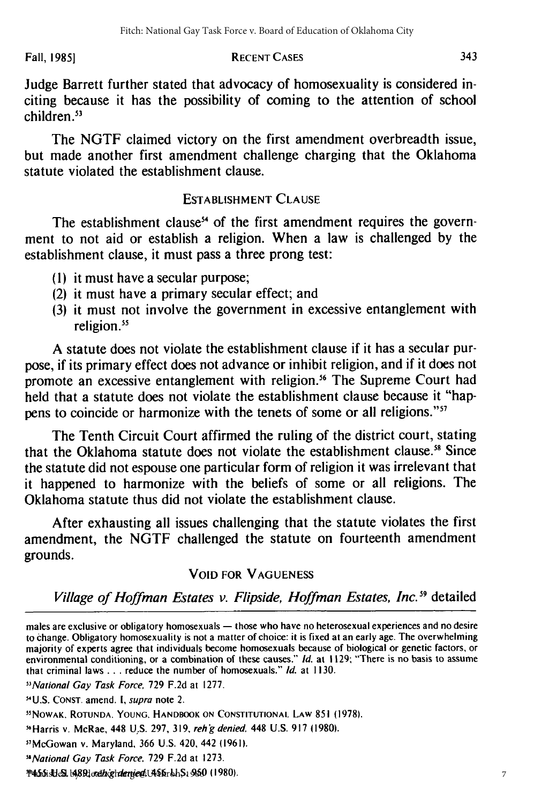#### **Fall, RECENT CASES 1985]**

Judge Barrett further stated that advocacy of homosexuality is considered inciting because it has the possibility of coming to the attention of school children.<sup>53</sup>

The NGTF claimed victory on the first amendment overbreadth issue, but made another first amendment challenge charging that the Oklahoma statute violated the establishment clause.

## **ESTABLISHMENT CLAUSE**

The establishment clause<sup>54</sup> of the first amendment requires the government to not aid or establish a religion. When a law is challenged by the establishment clause, it must pass a three prong test:

- **(1)** it must have a secular purpose;
- (2) it must have a primary secular effect; and
- **(3)** it must not involve the government in excessive entanglement with religion.<sup>55</sup>

A statute does not violate the establishment clause if it has a secular purpose, if its primary effect does not advance or inhibit religion, and if it does not promote an excessive entanglement with religion.<sup>56</sup> The Supreme Court had held that a statute does not violate the establishment clause because it "happens to coincide or harmonize with the tenets of some or all religions."<sup>57</sup>

The Tenth Circuit Court affirmed the ruling of the district court, stating that the Oklahoma statute does not violate the establishment clause.<sup>58</sup> Since the statute did not espouse one particular form of religion it was irrelevant that it happened to harmonize with the beliefs of some or all religions. The Oklahoma statute thus did not violate the establishment clause.

After exhausting all issues challenging that the statute violates the first amendment, the NGTF challenged the statute on fourteenth amendment grounds.

## **VOID** FOR **VAGUENESS**

*Village of Hoffman Estates v. Flipside, Hoffman Estates, Inc."* detailed

<sup>56</sup> Harris v. McRae, 448 U.S. 297, 319, reh'g denied, 448 U.S. 917 (1980).

males are exclusive or obligatory homosexuals — those who have no heterosexual experiences and no desire to change. Obligatory homosexuality is not a matter of choice: it is fixed at an early age. The overwhelming majority of experts agree that individuals become homosexuals because of biological or genetic factors, or environmental conditioning, or a combination of these causes." *Id.* at 1129; "There is no basis to assume that criminal laws **...** reduce the number of homosexuals." Id. at 1130.

<sup>&</sup>quot;National Gay Task Force, 729 F.2d at 1277.

<sup>-&</sup>quot;U.S. **CONST.** amend. **I,** supra note 2.

<sup>&</sup>quot;NOWAK. ROTUNDA. YOUNG. HANDBOOK ON **CONSTITUTIONAL** LAW 851 (1978).

<sup>&</sup>quot;McGowan v. Maryland, 366 U.S. 420, 442 (1961).

<sup>&</sup>quot;National Gay Task Force. 729 F.2d at 1273.

P455isUeSI 1489;loreth:ghdenye@UAS6rbhS1950 (1980)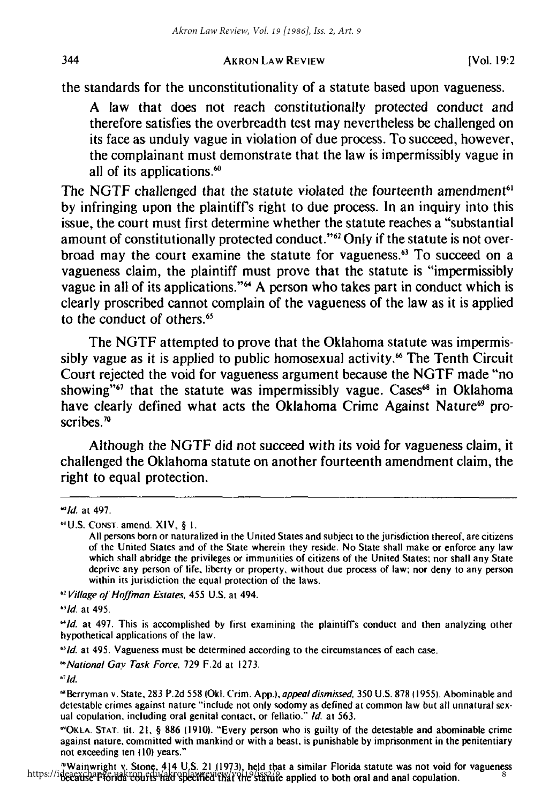the standards for the unconstitutionality of a statute based upon vagueness.

**A** law that does not reach constitutionally protected conduct and therefore satisfies the overbreadth test may nevertheless be challenged on its face as unduly vague in violation of due process. To succeed, however, the complainant must demonstrate that the law is impermissibly vague in all of its applications.<sup>60</sup>

The NGTF challenged that the statute violated the fourteenth amendment<sup>61</sup> **by** infringing upon the plaintiff's right to due process. In an inquiry into this issue, the court must first determine whether the statute reaches a "substantial amount of constitutionally protected conduct."<sup>62</sup> Only if the statute is not overbroad may the court examine the statute for vagueness.<sup>63</sup> To succeed on a vagueness claim, the plaintiff must prove that the statute is "impermissibly vague in all of its applications."" **A** person who takes part in conduct which is clearly proscribed cannot complain of the vagueness of the law as it is applied to the conduct of others.<sup>65</sup>

The **NGTF** attempted to prove that the Oklahoma statute was impermissibly vague as it is applied to public homosexual activity.<sup>66</sup> The Tenth Circuit Court rejected the void for vagueness argument because the **NGTF** made "no showing"<sup>67</sup> that the statute was impermissibly vague. Cases<sup>68</sup> in Oklahoma have clearly defined what acts the Oklahoma Crime Against Nature<sup>69</sup> proscribes.<sup>70</sup>

Although the **NGTF** did not succeed with its void for vagueness claim, it challenged the Oklahoma statute on another fourteenth amendment claim, the right to equal protection.

<sup>65</sup> *Id.* at 495. Vagueness must be determined according to the circumstances of each case.

*"National* Gay Task Force. **729 F.2d** at **1273.**

*-* **Id.**

**"OKLA. STAr. tit. 21, § 886 (1910).** "Every person who is guilty of the detestable and abominable crime against nature, committed with mankind or with a beast, is punishable **by** imprisonment in the penitentiary not exceeding ten **(10)** years."

'Wainwright v. Stone, 414 **U.S.** 21 **(1973),** held that a similar Florida statute was not void for vagueness https://ideaexchange.uakronlawreview/volt19/3/21.119/3/, held that a similar Florida statute was not vold for vaguenc<br>https://ideaexchange.uakronlawreview/vol19/iss2/9/iss2/9/e-applied to both oral and anal copulation.

344

*l'id.* at 497.

**<sup>&</sup>quot;U.S. CONST.** amend. XIV, **§ I.**

**All** persons born or naturalized in the United States and subject to the jurisdiction thereof, are citizens of the United States and of the State wherein they reside. No State shall make or enforce any law which shall abridge the privileges or immunities of citizens of the United States: nor shall any State deprive any person of life, liberty or property, without due process of law: nor deny to any person within its jurisdiction the equal protection of the laws.

*<sup>62</sup>* Village **of** Hoffman **Estates.** 455 **U.S.** at 494.

**<sup>&#</sup>x27;lid.** at 495.

*<sup>&#</sup>x27;Id.* at 497. This is accomplished **by** first examining the plaintiff's conduct and then analyzing other hypothetical applications of the law.

**<sup>&</sup>quot;** Berryman v. State, **283 P.2d 558 (OkI.** Crim. **App.),** appealdismised. **350 U.S. 878 (1955).** Abominable and detestable crimes against nature "include not only sodomy as defined at common law but all unnatural sexual copulation. including oral genital contact, or fellatio." **Id.** at **563.**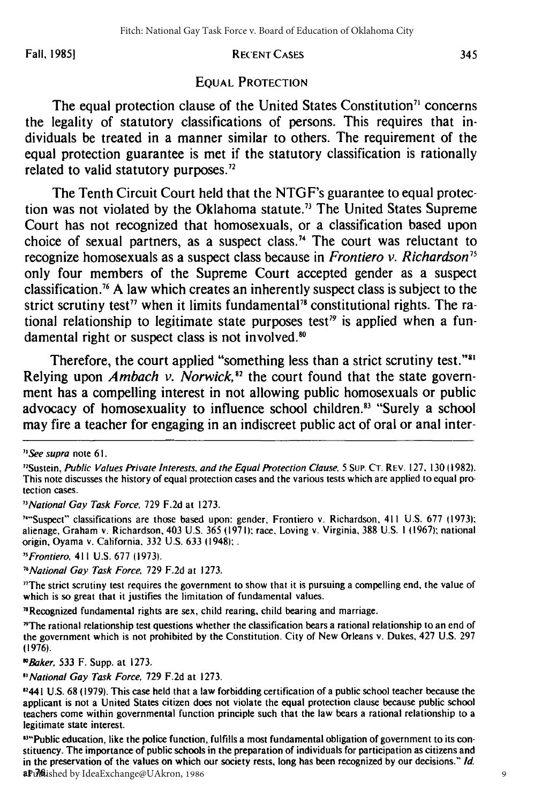**Fall, 19851**

#### RECENT CASES

## EQUAL PROTECTION

The equal protection clause of the United States Constitution<sup>71</sup> concerns the legality of statutory classifications of persons. This requires that individuals be treated in a manner similar to others. The requirement of the equal protection guarantee is met if the statutory classification is rationally related to valid statutory purposes."

The Tenth Circuit Court held that the NTGF's guarantee to equal protection was not violated **by** the Oklahoma statute. 73 The United States Supreme Court has not recognized that homosexuals, or a classification based upon choice of sexual partners, as a suspect class.<sup>74</sup> The court was reluctant to recognize homosexuals as a suspect class because in *Frontiero v. Richardson75* only four members of the Supreme Court accepted gender as a suspect classification. <sup>7</sup>**A** law which creates an inherently suspect class is subject to the strict scrutiny test<sup>77</sup> when it limits fundamental<sup>78</sup> constitutional rights. The rational relationship to legitimate state purposes test<sup>79</sup> is applied when a fundamental right or suspect class is not involved.<sup>80</sup>

Therefore, the court applied "something less than a strict scrutiny test."<sup>31</sup> Relying upon *Ambach v. Norwick*,<sup>82</sup> the court found that the state government has a compelling interest in not allowing public homosexuals or public advocacy of homosexuality to influence school children.<sup>83</sup> "Surely a school may fire a teacher for engaging in an indiscreet public act of oral or anal inter-

"National Gay Task Force, 729 F.2d at 1273.

""Suspect" classifications are those based upon: gender, Frontiero v. Richardson, 411 U.S. 677 (1973); alienage, Graham v. Richardson, 403 U.S. 365 **(1971);** race, Loving v. Virginia, **388** U.S. **I** 1(1967); national origin, Oyama v. California, 332 U.S. **633** (1948);.

"Frontiero, 411 U.S. 677 (1973).

"National Gay Task Force. 729 F.2d at 1273.

"The strict scrutiny test requires the government to show that it is pursuing a compelling end, the value of which is so great that **it** justifies the limitation of fundamental values.

"Recognized fundamental rights are sex, child rearing, child bearing and marriage.

"The rational relationship test questions whether the classification bears a rational relationship to an end of the government which is not prohibited **by** the Constitution. City of New Orleans v. Dukes, 427 U.S. 297 (1976).

*\$'Baker,* 533 F. Supp. at 1273.

"National Gay Task Force, 729 F.2d at 1273.

"2441 U.S. 68 (1979). This case held that a law forbidding certification of a public school teacher because the applicant is not a United States citizen does not violate the equal protection clause because public school teachers come within governmental function principle such that the law bears a rational relationship to a legitimate state interest.

<sup>834</sup>Public education, like the police function, fulfills a most fundamental obligation of government to its constituency. The importance of public schools in the preparation of individuals for participation as citizens and in the preservation of the values on which our society rests, long has been recognized by our decisions." **Id.** at **76.** Published by IdeaExchange@UAkron, 1986

*I'See* supra note 6 **1.**

<sup>&</sup>quot;Sustein, Public Values Private Interests, and the Equal Protection Clause, 5 SUP. **CT.** REV. 127, 130 (1982). This note discusses the history of equal protection cases and the various tests which are applied to equal protection cases.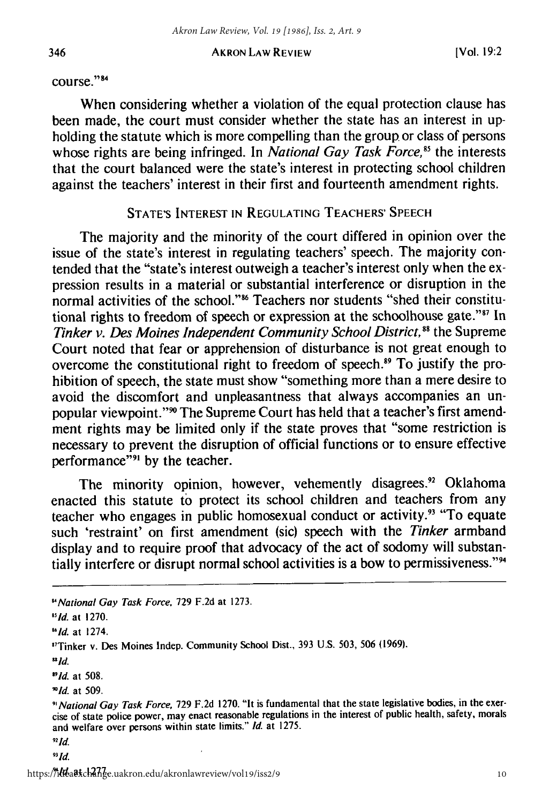course."<sup>84</sup>

When considering whether a violation of the equal protection clause has been made, the court must consider whether the state has an interest in upholding the statute which is more compelling than the group. or class of persons whose rights are being infringed. In *National Gay Task Force*,<sup>85</sup> the interests that the court balanced were the state's interest in protecting school children against the teachers' interest in their first and fourteenth amendment rights.

## **STATE'S INTEREST IN REGULATING TEACHERS' SPEECH**

The majority and the minority of the court differed in opinion over the issue of the state's interest in regulating teachers' speech. The majority contended that the "state's interest outweigh a teacher's interest only when the expression results in a material or substantial interference or disruption in the normal activities of the school."<sup>86</sup> Teachers nor students "shed their constitutional rights to freedom of speech or expression at the schoolhouse gate."<sup>87</sup> In *Tinker v. Des Moines Independent Community School District*,<sup>88</sup> the Supreme Court noted that fear or apprehension of disturbance is not great enough to overcome the constitutional right to freedom of speech.<sup>89</sup> To justify the prohibition of speech, the state must show "something more than a mere desire to avoid the discomfort and unpleasantness that always accompanies an unpopular viewpoint."<sup>90</sup> The Supreme Court has held that a teacher's first amendment rights may be limited only if the state proves that "some restriction is necessary to prevent the disruption of official functions or to ensure effective performance"<sup>91</sup> by the teacher.

The minority opinion, however, vehemently disagrees.<sup>92</sup> Oklahoma enacted this statute to protect its school children and teachers from any teacher who engages in public homosexual conduct or activity.<sup>93</sup> "To equate such 'restraint' on first amendment (sic) speech with the *Tinker* armband display and to require proof that advocacy of the act of sodomy will substantially interfere or disrupt normal school activities is a bow to permissiveness."<sup>94</sup>

*<sup>&#</sup>x27;National* Gay Task Force, **729 F.2d** at **1273.**

**<sup>&</sup>quot;Id.** at **1270.**

*<sup>&</sup>quot;Id.* at 1274.

<sup>&</sup>quot;Tinker v. Des Moines Indep. Community School Dist., 393 U.S. 503, 506 (1969).

*uld.*

*<sup>&</sup>quot;Id.* at 508.

*<sup>&</sup>quot;Id.* at 509.

<sup>&</sup>quot;National *Gay* Task *Force,* 729 F.2d 1270. "It is fundamental that the state legislative bodies, in the exercise of state police power, may enact reasonable regulations in the interest of public health, safety, morals and welfare over persons within state limits." Id. at 1275.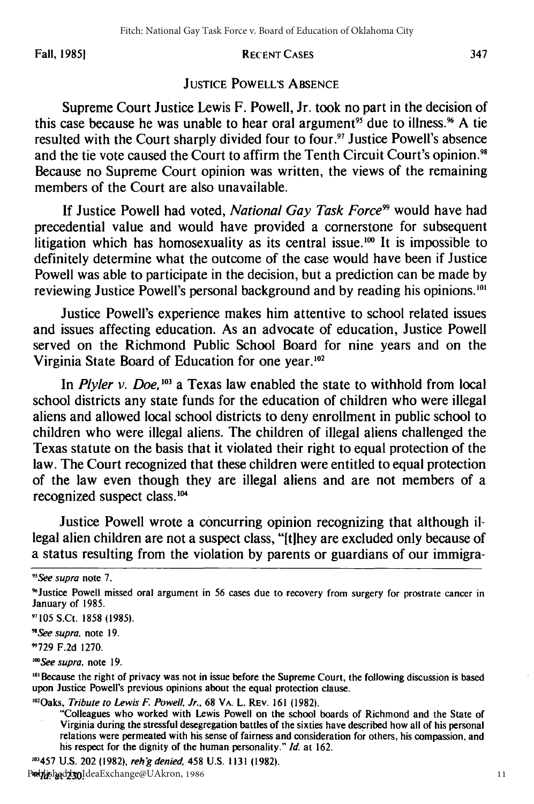Fall, **19851**

#### RECENT CASES

## JUSTICE POWELL'S ABSENCE

Supreme Court Justice Lewis F. Powell, Jr. took no part in the decision of this case because he was unable to hear oral argument<sup>95</sup> due to illness.<sup>96</sup> A tie resulted with the Court sharply divided four to four.<sup>97</sup> Justice Powell's absence and the tie vote caused the Court to affirm the Tenth Circuit Court's opinion.<sup>98</sup> Because no Supreme Court opinion was written, the views of the remaining members of the Court are also unavailable.

If Justice Powell had voted, *National Gay Task Force99* would have had precedential value and would have provided a cornerstone for subsequent litigation which has homosexuality as its central issue.<sup>100</sup> It is impossible to definitely determine what the outcome of the case would have been if Justice Powell was able to participate in the decision, but a prediction can be made by reviewing Justice Powell's personal background and by reading his opinions.'

Justice Powell's experience makes him attentive to school related issues and issues affecting education. As an advocate of education, Justice Powell served on the Richmond Public School Board for nine years and on the Virginia State Board of Education for one year.<sup>102</sup>

In *Plyler v. Doe,'03* a Texas law enabled the state to withhold from local school districts any state funds for the education of children who were illegal aliens and allowed local school districts to deny enrollment in public school to children who were illegal aliens. The children of illegal aliens challenged the Texas statute on the basis that it violated their right to equal protection of the law. The Court recognized that these children were entitled to equal protection of the law even though they are illegal aliens and are not members of a recognized suspect class.<sup>104</sup>

Justice Powell wrote a concurring opinion recognizing that although illegal alien children are not a suspect class, "Ithey are excluded only because of a status resulting from the violation by parents or guardians of our immigra-

*"See supra* note 7.

"Justice Powell missed oral argument in 56 cases due to recovery from surgery for prostrate cancer in January of 1985.

**11105** S.Ct. 1858 **(1985).**

"See supra, note **19.**

"729 F.2d 1270.

*"'See supra,* note 19.

<sup>101</sup> Because the right of privacy was not in issue before the Supreme Court, the following discussion is based upon Justice Powell's previous opinions about the equal protection clause.

<sup>102</sup> Oaks, Tribute to Lewis F. Powell, Jr., 68 VA. L. REV. 161 (1982).

"Colleagues who worked with Lewis Powell on the school boards of Richmond and the State of Virginia during the stressful desegregation battles of the sixties have described how all of his personal relations were permeated with his sense of fairness and consideration for others, his compassion, and his respect for the dignity of the human personality." **Id.** at 162.

03457 U.S. 202 **(1982),** rehg denied, 458 U.S. 1131 **(1982).**

Published by IdeaExchange@UAkron, 1986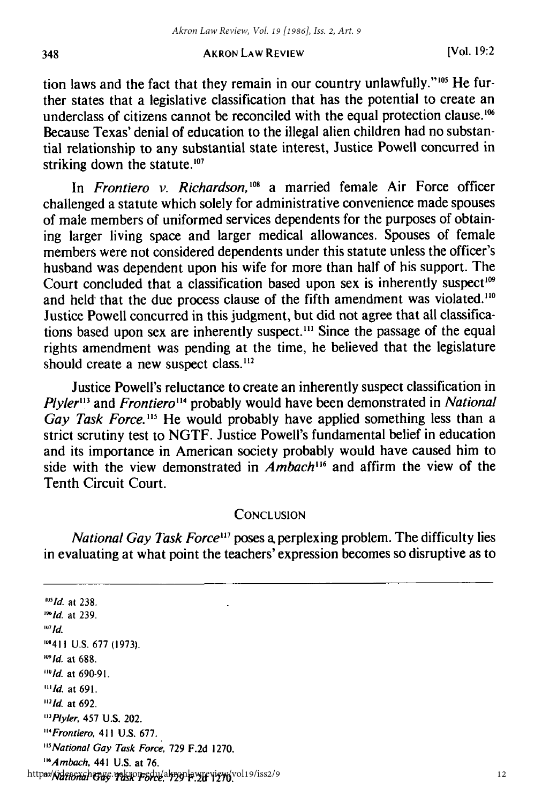tion laws and the fact that they remain in our country unlawfully." **105** He further states that a legislative classification that has the potential to create an underclass of citizens cannot be reconciled with the equal protection clause.<sup>106</sup> Because Texas' denial of education to the illegal alien children had no substantial relationship to any substantial state interest, Justice Powell concurred in striking down the statute. $107$ 

In *Frontiero v. Richardson*,<sup>108</sup> a married female Air Force officer challenged a statute which solely for administrative convenience made spouses of male members of uniformed services dependents for the purposes of obtaining larger living space and larger medical allowances. Spouses of female members were not considered dependents under this statute unless the officer's husband was dependent upon his wife for more than half of his support. The Court concluded that a classification based upon sex is inherently suspect<sup>109</sup> and held that the due process clause of the fifth amendment was violated.<sup>110</sup> Justice Powell concurred in this judgment, but did not agree that all classifications based upon sex are inherently suspect.<sup>111</sup> Since the passage of the equal rights amendment was pending at the time, he believed that the legislature should create a new suspect class.<sup>112</sup>

Justice Powell's reluctance to create an inherently suspect classification in *Plyler*<sup>113</sup> and *Frontiero*<sup>114</sup> probably would have been demonstrated in *National* Gay Task Force.<sup>115</sup> He would probably have applied something less than a strict scrutiny test to NGTF. Justice Powell's fundamental belief in education and its importance in American society probably would have caused him to side with the view demonstrated in *Ambach"6* and affirm the view of the Tenth Circuit Court.

## **CONCLUSION**

*National Gay Task Force*<sup>117</sup> poses a perplexing problem. The difficulty lies in evaluating at what point the teachers' expression becomes so disruptive as to

*1111d.* at **238.** *1"id.* at **239.**  $107$   $Id.$ 1-411 **U.S. 677 (1973).** *'" ld.* at **688.** *"Ild* at **690-91.** *'"Id.* at 691.  $112$  Id. at 692. <sup>113</sup> Plyler, 457 U.S. 202. "'Frontiero, 411 U.S. 677. <sup>115</sup> National Gay Task Force, 729 F.2d 1270. *"'Ambach,* 441 U.S. at 76. *"'National* Gay Task Force, **729 F.2d 1270.** https://ideaexchange.uakron.edu/akronlawreview/vol19/iss2/9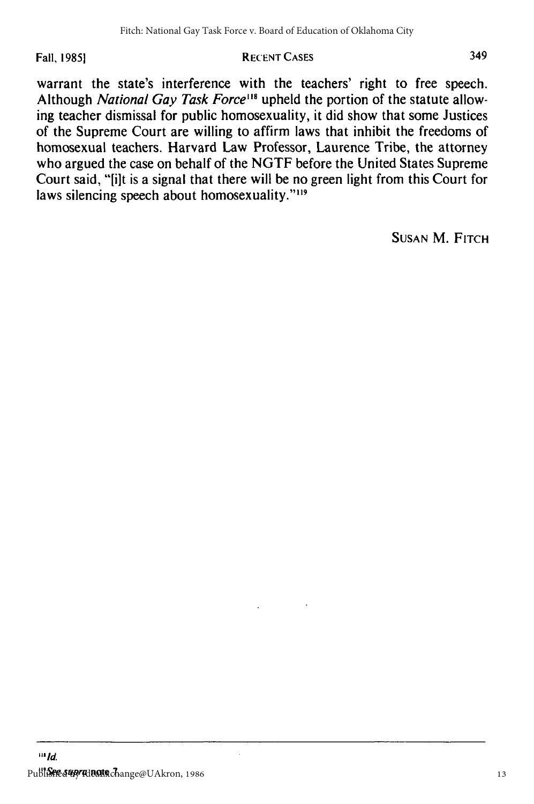## Fall, 1985] **RECENT CASES**

warrant the state's interference with the teachers' right to free speech. Although *National Gay Task Force*<sup>118</sup> upheld the portion of the statute allowing teacher dismissal for public homosexuality, it did show that some Justices of the Supreme Court are willing to affirm laws that inhibit the freedoms of homosexual teachers. Harvard Law Professor, Laurence Tribe, the attorney who argued the case on behalf of the NGTF before the United States Supreme Court said, "lilt is a signal that there will be no green light from this Court for laws silencing speech about homosexuality."<sup>119</sup>

SUSAN M. FITCH